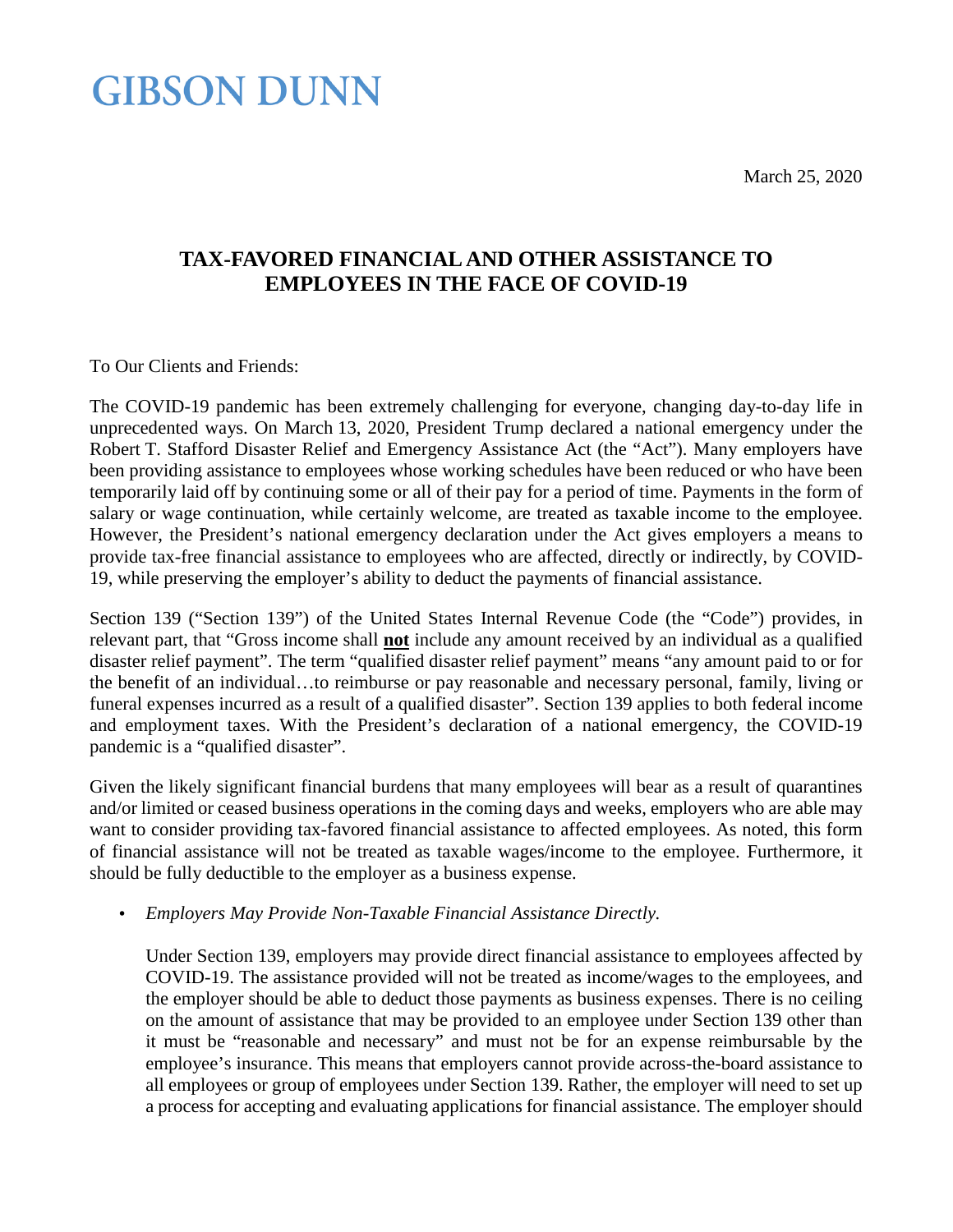March 25, 2020

### **GIBSON DUNN**

### **TAX-FAVORED FINANCIAL AND OTHER ASSISTANCE TO EMPLOYEES IN THE FACE OF COVID-19**

To Our Clients and Friends:

The COVID-19 pandemic has been extremely challenging for everyone, changing day-to-day life in unprecedented ways. On March 13, 2020, President Trump declared a national emergency under the Robert T. Stafford Disaster Relief and Emergency Assistance Act (the "Act"). Many employers have been providing assistance to employees whose working schedules have been reduced or who have been temporarily laid off by continuing some or all of their pay for a period of time. Payments in the form of salary or wage continuation, while certainly welcome, are treated as taxable income to the employee. However, the President's national emergency declaration under the Act gives employers a means to provide tax-free financial assistance to employees who are affected, directly or indirectly, by COVID-19, while preserving the employer's ability to deduct the payments of financial assistance.

Section 139 ("Section 139") of the United States Internal Revenue Code (the "Code") provides, in relevant part, that "Gross income shall **not** include any amount received by an individual as a qualified disaster relief payment". The term "qualified disaster relief payment" means "any amount paid to or for the benefit of an individual…to reimburse or pay reasonable and necessary personal, family, living or funeral expenses incurred as a result of a qualified disaster". Section 139 applies to both federal income and employment taxes. With the President's declaration of a national emergency, the COVID-19 pandemic is a "qualified disaster".

Given the likely significant financial burdens that many employees will bear as a result of quarantines and/or limited or ceased business operations in the coming days and weeks, employers who are able may want to consider providing tax-favored financial assistance to affected employees. As noted, this form of financial assistance will not be treated as taxable wages/income to the employee. Furthermore, it should be fully deductible to the employer as a business expense.

*Employers May Provide Non-Taxable Financial Assistance Directly.* l,

Under Section 139, employers may provide direct financial assistance to employees affected by COVID-19. The assistance provided will not be treated as income/wages to the employees, and the employer should be able to deduct those payments as business expenses. There is no ceiling on the amount of assistance that may be provided to an employee under Section 139 other than it must be "reasonable and necessary" and must not be for an expense reimbursable by the employee's insurance. This means that employers cannot provide across-the-board assistance to all employees or group of employees under Section 139. Rather, the employer will need to set up a process for accepting and evaluating applications for financial assistance. The employer should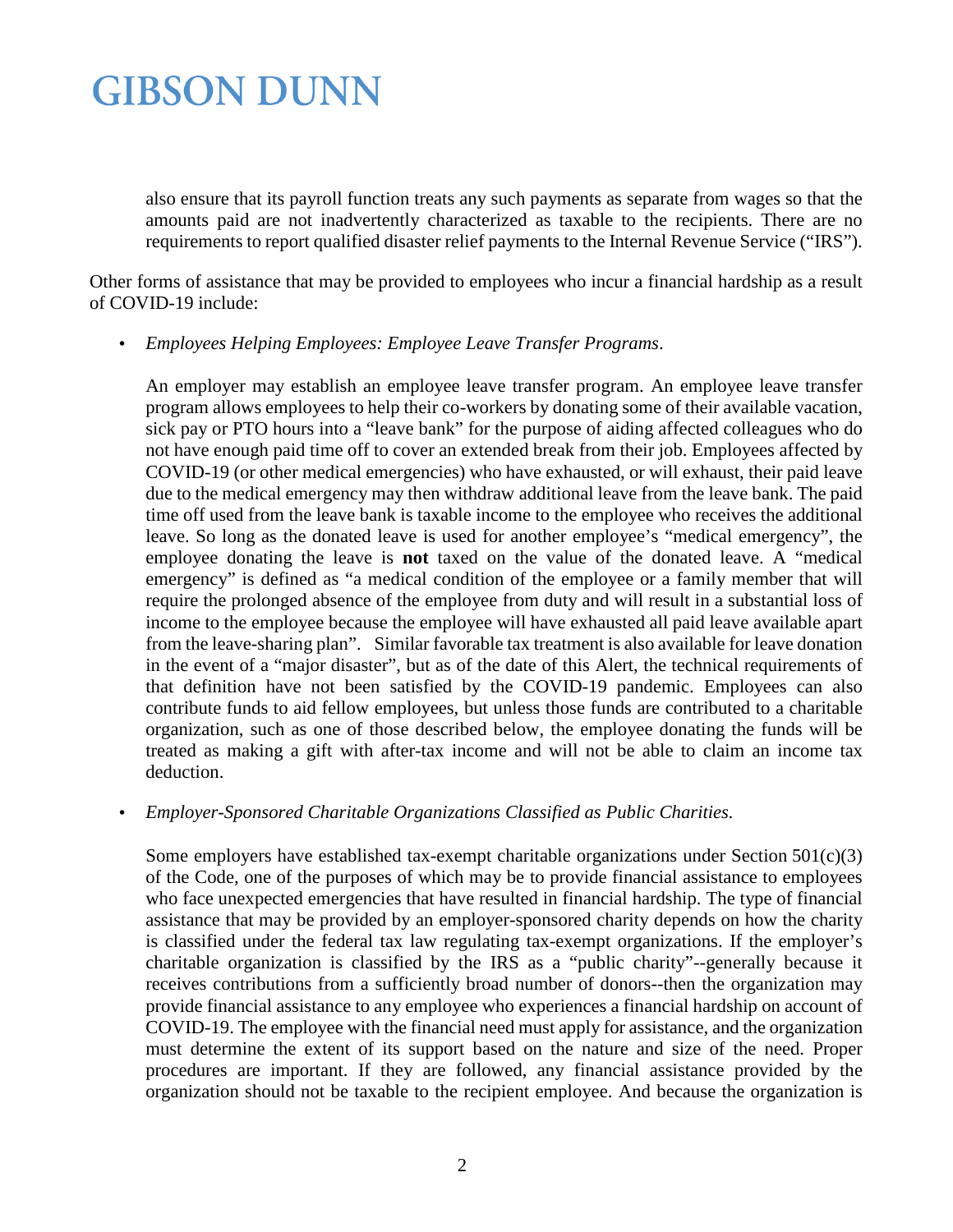also ensure that its payroll function treats any such payments as separate from wages so that the amounts paid are not inadvertently characterized as taxable to the recipients. There are no requirements to report qualified disaster relief payments to the Internal Revenue Service ("IRS").

Other forms of assistance that may be provided to employees who incur a financial hardship as a result of COVID-19 include:

*Employees Helping Employees: Employee Leave Transfer Programs*.

An employer may establish an employee leave transfer program. An employee leave transfer program allows employees to help their co-workers by donating some of their available vacation, sick pay or PTO hours into a "leave bank" for the purpose of aiding affected colleagues who do not have enough paid time off to cover an extended break from their job. Employees affected by COVID-19 (or other medical emergencies) who have exhausted, or will exhaust, their paid leave due to the medical emergency may then withdraw additional leave from the leave bank. The paid time off used from the leave bank is taxable income to the employee who receives the additional leave. So long as the donated leave is used for another employee's "medical emergency", the employee donating the leave is **not** taxed on the value of the donated leave. A "medical emergency" is defined as "a medical condition of the employee or a family member that will require the prolonged absence of the employee from duty and will result in a substantial loss of income to the employee because the employee will have exhausted all paid leave available apart from the leave-sharing plan". Similar favorable tax treatment is also available for leave donation in the event of a "major disaster", but as of the date of this Alert, the technical requirements of that definition have not been satisfied by the COVID-19 pandemic. Employees can also contribute funds to aid fellow employees, but unless those funds are contributed to a charitable organization, such as one of those described below, the employee donating the funds will be treated as making a gift with after-tax income and will not be able to claim an income tax deduction.

### *Employer-Sponsored Charitable Organizations Classified as Public Charities.*

Some employers have established tax-exempt charitable organizations under Section 501(c)(3) of the Code, one of the purposes of which may be to provide financial assistance to employees who face unexpected emergencies that have resulted in financial hardship. The type of financial assistance that may be provided by an employer-sponsored charity depends on how the charity is classified under the federal tax law regulating tax-exempt organizations. If the employer's charitable organization is classified by the IRS as a "public charity"--generally because it receives contributions from a sufficiently broad number of donors--then the organization may provide financial assistance to any employee who experiences a financial hardship on account of COVID-19. The employee with the financial need must apply for assistance, and the organization must determine the extent of its support based on the nature and size of the need. Proper procedures are important. If they are followed, any financial assistance provided by the organization should not be taxable to the recipient employee. And because the organization is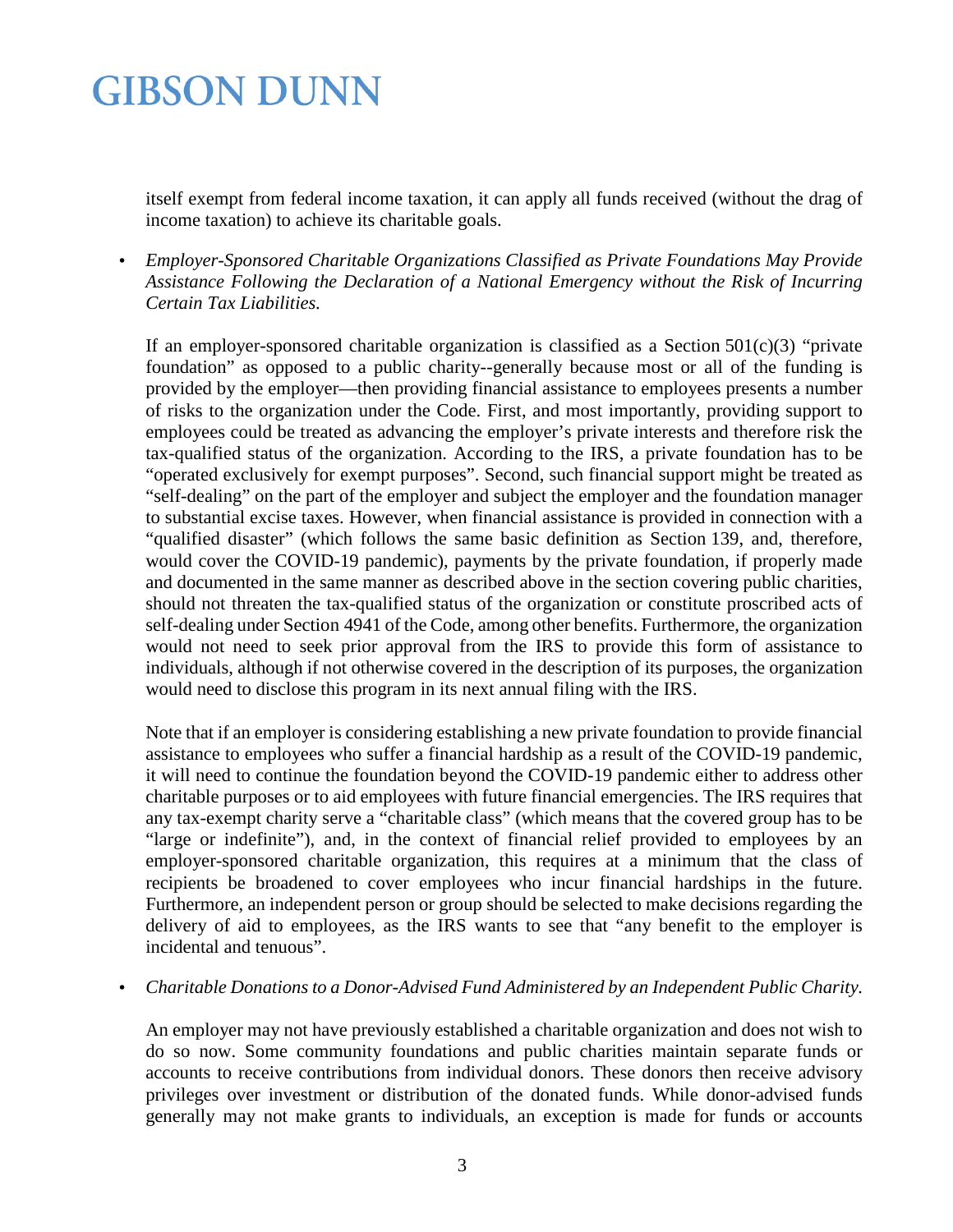itself exempt from federal income taxation, it can apply all funds received (without the drag of income taxation) to achieve its charitable goals.

*Employer-Sponsored Charitable Organizations Classified as Private Foundations May Provide*  l, *Assistance Following the Declaration of a National Emergency without the Risk of Incurring Certain Tax Liabilities.*

If an employer-sponsored charitable organization is classified as a Section  $501(c)(3)$  "private foundation" as opposed to a public charity--generally because most or all of the funding is provided by the employer—then providing financial assistance to employees presents a number of risks to the organization under the Code. First, and most importantly, providing support to employees could be treated as advancing the employer's private interests and therefore risk the tax-qualified status of the organization. According to the IRS, a private foundation has to be "operated exclusively for exempt purposes". Second, such financial support might be treated as "self-dealing" on the part of the employer and subject the employer and the foundation manager to substantial excise taxes. However, when financial assistance is provided in connection with a "qualified disaster" (which follows the same basic definition as Section 139, and, therefore, would cover the COVID-19 pandemic), payments by the private foundation, if properly made and documented in the same manner as described above in the section covering public charities, should not threaten the tax-qualified status of the organization or constitute proscribed acts of self-dealing under Section 4941 of the Code, among other benefits. Furthermore, the organization would not need to seek prior approval from the IRS to provide this form of assistance to individuals, although if not otherwise covered in the description of its purposes, the organization would need to disclose this program in its next annual filing with the IRS.

Note that if an employer is considering establishing a new private foundation to provide financial assistance to employees who suffer a financial hardship as a result of the COVID-19 pandemic, it will need to continue the foundation beyond the COVID-19 pandemic either to address other charitable purposes or to aid employees with future financial emergencies. The IRS requires that any tax-exempt charity serve a "charitable class" (which means that the covered group has to be "large or indefinite"), and, in the context of financial relief provided to employees by an employer-sponsored charitable organization, this requires at a minimum that the class of recipients be broadened to cover employees who incur financial hardships in the future. Furthermore, an independent person or group should be selected to make decisions regarding the delivery of aid to employees, as the IRS wants to see that "any benefit to the employer is incidental and tenuous".

*Charitable Donations to a Donor-Advised Fund Administered by an Independent Public Charity.*

An employer may not have previously established a charitable organization and does not wish to do so now. Some community foundations and public charities maintain separate funds or accounts to receive contributions from individual donors. These donors then receive advisory privileges over investment or distribution of the donated funds. While donor-advised funds generally may not make grants to individuals, an exception is made for funds or accounts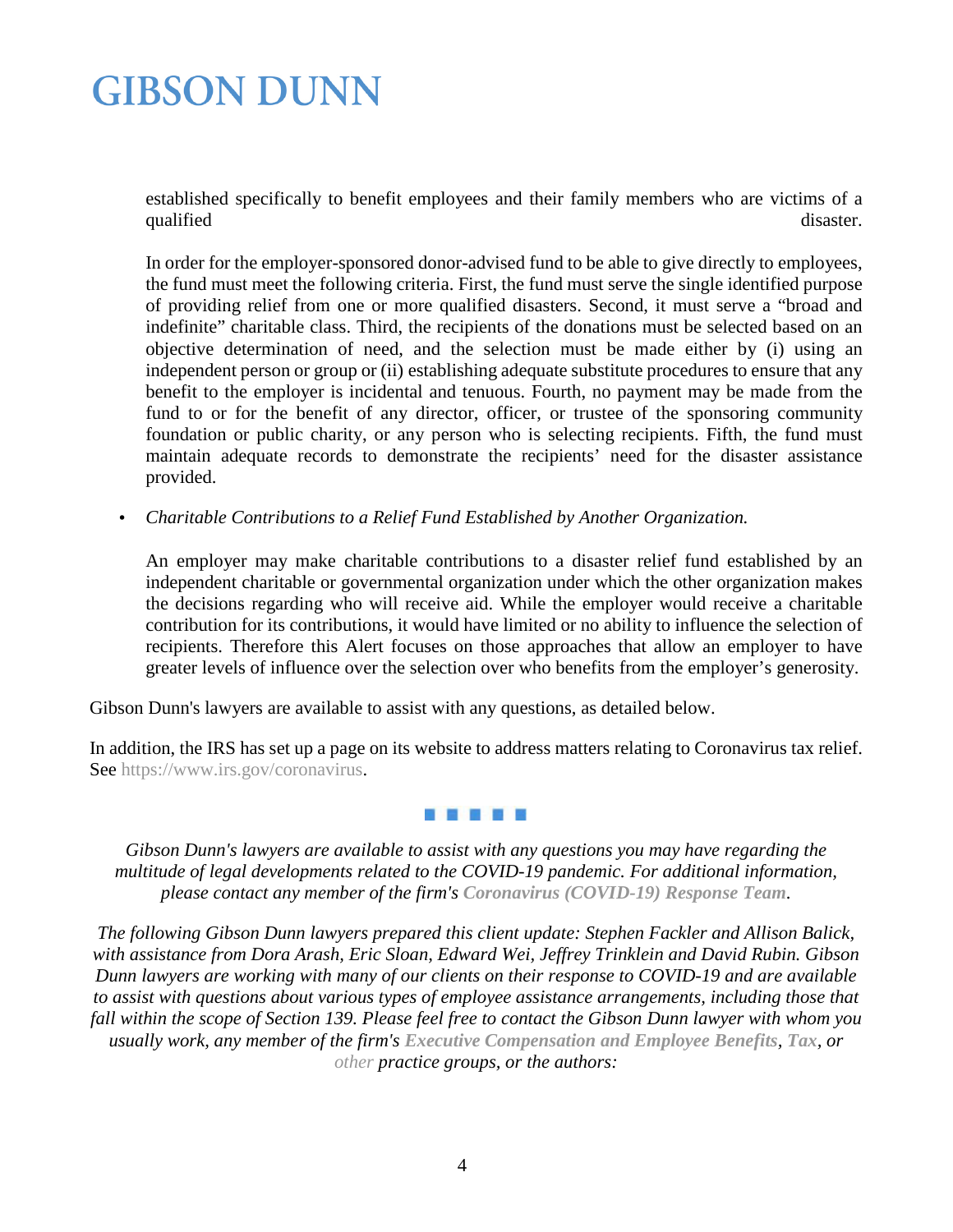established specifically to benefit employees and their family members who are victims of a qualified disaster.

In order for the employer-sponsored donor-advised fund to be able to give directly to employees, the fund must meet the following criteria. First, the fund must serve the single identified purpose of providing relief from one or more qualified disasters. Second, it must serve a "broad and indefinite" charitable class. Third, the recipients of the donations must be selected based on an objective determination of need, and the selection must be made either by (i) using an independent person or group or (ii) establishing adequate substitute procedures to ensure that any benefit to the employer is incidental and tenuous. Fourth, no payment may be made from the fund to or for the benefit of any director, officer, or trustee of the sponsoring community foundation or public charity, or any person who is selecting recipients. Fifth, the fund must maintain adequate records to demonstrate the recipients' need for the disaster assistance provided.

*Charitable Contributions to a Relief Fund Established by Another Organization.* ä,

An employer may make charitable contributions to a disaster relief fund established by an independent charitable or governmental organization under which the other organization makes the decisions regarding who will receive aid. While the employer would receive a charitable contribution for its contributions, it would have limited or no ability to influence the selection of recipients. Therefore this Alert focuses on those approaches that allow an employer to have greater levels of influence over the selection over who benefits from the employer's generosity.

Gibson Dunn's lawyers are available to assist with any questions, as detailed below.

In addition, the IRS has set up a page on its website to address matters relating to Coronavirus tax relief. See [https://www.irs.gov/coronavirus.](https://www.irs.gov/coronavirus)

#### 可信 计同步时间

*Gibson Dunn's lawyers are available to assist with any questions you may have regarding the multitude of legal developments related to the COVID-19 pandemic. For additional information, please contact any member of the firm's [Coronavirus \(COVID-19\) Response Team](https://www.gibsondunn.com/coronavirus-covid-19-resource-center/).*

*The following Gibson Dunn lawyers prepared this client update: Stephen Fackler and Allison Balick, with assistance from Dora Arash, Eric Sloan, Edward Wei, Jeffrey Trinklein and David Rubin. Gibson Dunn lawyers are working with many of our clients on their response to COVID-19 and are available to assist with questions about various types of employee assistance arrangements, including those that fall within the scope of Section 139. Please feel free to contact the Gibson Dunn lawyer with whom you usually work, any member of the firm's [Executive Compensation and Employee Benefits](https://www.gibsondunn.com/practice/executive-compensation-employee-benefits/), [Tax](https://www.gibsondunn.com/practice/tax/), or [other](https://www.gibsondunn.com/practices/) practice groups, or the authors:*